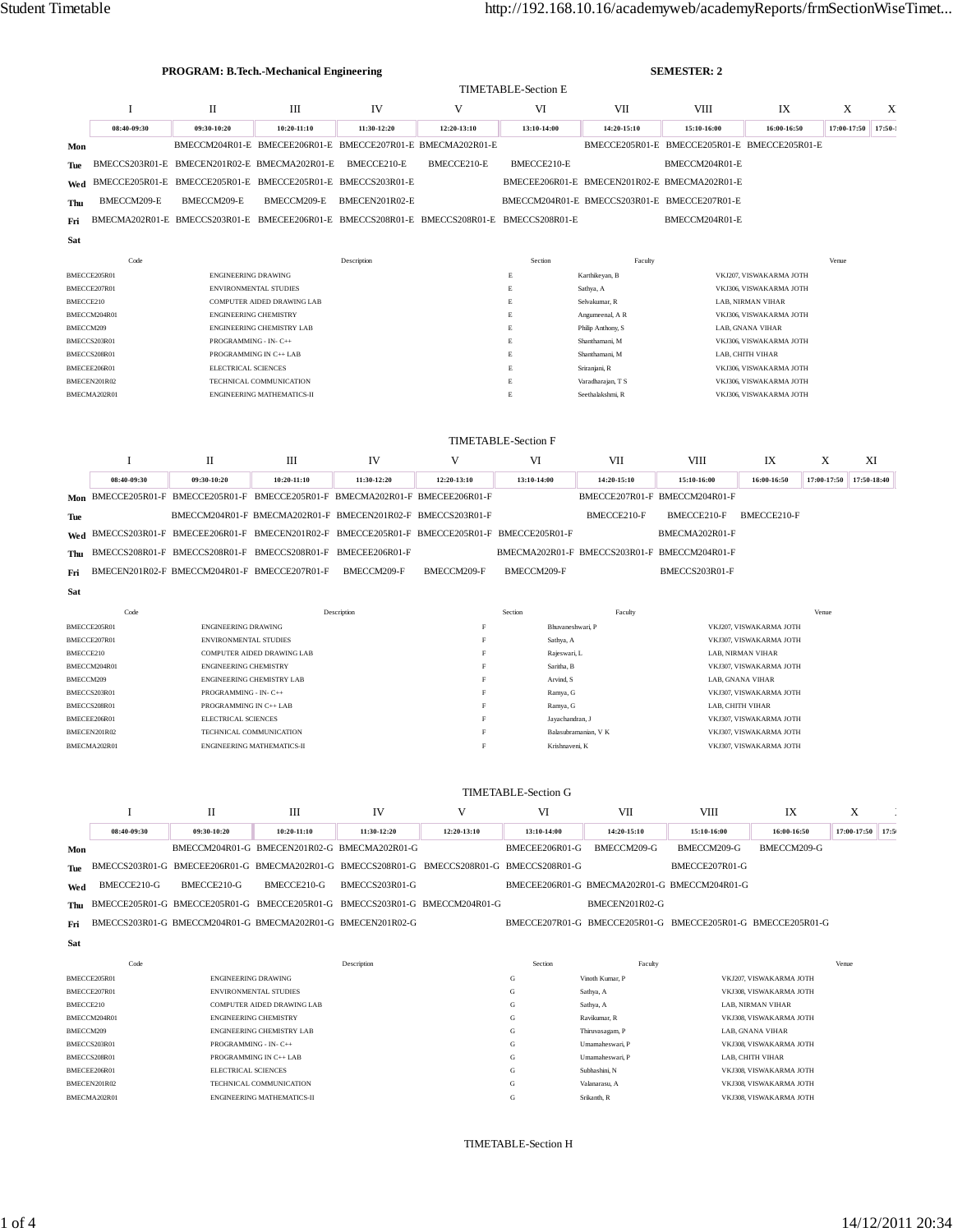|           |              |                              | <b>PROGRAM: B.Tech.-Mechanical Engineering</b>                                            |                |             | <b>SEMESTER: 2</b>         |                                              |                                              |                         |             |           |  |  |
|-----------|--------------|------------------------------|-------------------------------------------------------------------------------------------|----------------|-------------|----------------------------|----------------------------------------------|----------------------------------------------|-------------------------|-------------|-----------|--|--|
|           |              |                              |                                                                                           |                |             | <b>TIMETABLE-Section E</b> |                                              |                                              |                         |             |           |  |  |
|           |              | $\mathbf{I}$                 | Ш                                                                                         | IV             | V           | VI                         | VII                                          | <b>VIII</b>                                  | IX                      | X           | X         |  |  |
|           | 08:40-09:30  | 09:30-10:20                  | 10:20-11:10                                                                               | 11:30-12:20    | 12:20-13:10 | 13:10-14:00                | 14:20-15:10                                  | 15:10-16:00                                  | 16:00-16:50             | 17:00-17:50 | $17:50-1$ |  |  |
| Mon       |              |                              | BMECCM204R01-E BMECEE206R01-E BMECCE207R01-E BMECMA202R01-E                               |                |             |                            |                                              | BMECCE205R01-E BMECCE205R01-E BMECCE205R01-E |                         |             |           |  |  |
| Tue       |              |                              | BMECCS203R01-E BMECEN201R02-E BMECMA202R01-E                                              | BMECCE210-E    | BMECCE210-E | BMECCE210-E                |                                              | BMECCM204R01-E                               |                         |             |           |  |  |
| Wed       |              |                              | BMECCE205R01-E BMECCE205R01-E BMECCE205R01-E BMECCS203R01-E                               |                |             |                            | BMECEE206R01-E BMECEN201R02-E BMECMA202R01-E |                                              |                         |             |           |  |  |
| Thu       | BMECCM209-E  | BMECCM209-E                  | BMECCM209-E                                                                               | BMECEN201R02-E |             |                            | BMECCM204R01-E BMECCS203R01-E BMECCE207R01-E |                                              |                         |             |           |  |  |
| Fri       |              |                              | BMECMA202R01-E BMECCS203R01-E BMECEE206R01-E BMECCS208R01-E BMECCS208R01-E BMECCS208R01-E |                |             |                            |                                              | BMECCM204R01-E                               |                         |             |           |  |  |
| Sat       |              |                              |                                                                                           |                |             |                            |                                              |                                              |                         |             |           |  |  |
|           | Code         |                              |                                                                                           | Description    |             | Section                    | Faculty                                      |                                              |                         | Venue       |           |  |  |
|           | BMECCE205R01 | <b>ENGINEERING DRAWING</b>   |                                                                                           |                |             | E                          | Karthikeyan, B                               |                                              | VKJ207, VISWAKARMA JOTH |             |           |  |  |
|           | BMECCE207R01 |                              | <b>ENVIRONMENTAL STUDIES</b>                                                              |                |             | E                          | Sathya, A                                    |                                              | VKJ306, VISWAKARMA JOTH |             |           |  |  |
| BMECCE210 |              |                              | <b>COMPUTER AIDED DRAWING LAB</b>                                                         |                |             | E                          | Selvakumar, R                                |                                              | LAB, NIRMAN VIHAR       |             |           |  |  |
|           | BMECCM204R01 | <b>ENGINEERING CHEMISTRY</b> |                                                                                           |                |             | E                          | Angumeenal, A R                              |                                              | VKJ306, VISWAKARMA JOTH |             |           |  |  |
| BMECCM209 |              |                              | <b>ENGINEERING CHEMISTRY LAB</b>                                                          |                |             | E                          | Philip Anthony, S                            |                                              | LAB, GNANA VIHAR        |             |           |  |  |
|           | BMECCS203R01 | PROGRAMMING - IN- C++        |                                                                                           |                |             | E                          | Shanthamani, M                               |                                              | VKJ306, VISWAKARMA JOTH |             |           |  |  |
|           | BMECCS208R01 |                              | PROGRAMMING IN C++ LAB                                                                    |                |             | E                          | Shanthamani, M                               |                                              | LAB, CHITH VIHAR        |             |           |  |  |
|           | BMECEE206R01 | <b>ELECTRICAL SCIENCES</b>   |                                                                                           |                |             | E                          | Sriranjani, R                                |                                              | VKJ306, VISWAKARMA JOTH |             |           |  |  |
|           | BMECEN201R02 |                              | TECHNICAL COMMUNICATION                                                                   |                |             | E                          | Varadharajan, T S                            |                                              | VKJ306, VISWAKARMA JOTH |             |           |  |  |
|           | BMECMA202R01 |                              | <b>ENGINEERING MATHEMATICS-II</b>                                                         |                |             | E                          | Seethalakshmi, R                             |                                              | VKJ306, VISWAKARMA JOTH |             |           |  |  |

| <b>TIMETABLE-Section F</b> |
|----------------------------|
|----------------------------|

|     |             |             | Ш                                                                                             | IV          |             | VI                                           | VII         | VIII                          | IХ          |             | XI          |
|-----|-------------|-------------|-----------------------------------------------------------------------------------------------|-------------|-------------|----------------------------------------------|-------------|-------------------------------|-------------|-------------|-------------|
|     | 08:40-09:30 | 09:30-10:20 | $10:20-11:10$                                                                                 | 11:30-12:20 | 12:20-13:10 | 13:10-14:00                                  | 14:20-15:10 | 15:10-16:00                   | 16:00-16:50 | 17:00-17:50 | 17:50-18:40 |
|     |             |             | Mon BMECCE205R01-F BMECCE205R01-F BMECCE205R01-F BMECMA202R01-F BMECEE206R01-F                |             |             |                                              |             | BMECCE207R01-F BMECCM204R01-F |             |             |             |
| Tue |             |             | BMECCM204R01-F BMECMA202R01-F BMECEN201R02-F BMECCS203R01-F                                   |             |             |                                              | BMECCE210-F | BMECCE210-F                   | BMECCE210-F |             |             |
|     |             |             | Wed BMECCS203R01-F BMECEE206R01-F BMECEN201R02-F BMECCE205R01-F BMECCE205R01-F BMECCE205R01-F |             |             |                                              |             | BMECMA202R01-F                |             |             |             |
|     |             |             | Thu BMECCS208R01-F BMECCS208R01-F BMECCS208R01-F BMECEE206R01-F                               |             |             | BMECMA202R01-F BMECCS203R01-F BMECCM204R01-F |             |                               |             |             |             |
| Fri |             |             | BMECEN201R02-F BMECCM204R01-F BMECCE207R01-F                                                  | BMECCM209-F | BMECCM209-F | BMECCM209-F                                  |             | BMECCS203R01-F                |             |             |             |
| Sat |             |             |                                                                                               |             |             |                                              |             |                               |             |             |             |

| Code         | Description                       | Section | Faculty              | Venue                   |
|--------------|-----------------------------------|---------|----------------------|-------------------------|
| BMECCE205R01 | <b>ENGINEERING DRAWING</b>        |         | Bhuvaneshwari, P     | VKJ207, VISWAKARMA JOTH |
| BMECCE207R01 | <b>ENVIRONMENTAL STUDIES</b>      |         | Sathya, A            | VKJ307, VISWAKARMA JOTH |
| BMECCE210    | <b>COMPUTER AIDED DRAWING LAB</b> |         | Rajeswari, L         | LAB, NIRMAN VIHAR       |
| BMECCM204R01 | <b>ENGINEERING CHEMISTRY</b>      |         | Saritha, B           | VKJ307, VISWAKARMA JOTH |
| BMECCM209    | <b>ENGINEERING CHEMISTRY LAB</b>  |         | Arvind, S            | LAB. GNANA VIHAR        |
| BMECCS203R01 | PROGRAMMING - IN- C++             | F       | Ramya, G             | VKJ307, VISWAKARMA JOTH |
| BMECCS208R01 | PROGRAMMING IN C++ LAB            |         | Ramya, G             | LAB. CHITH VIHAR        |
| BMECEE206R01 | <b>ELECTRICAL SCIENCES</b>        |         | Jayachandran, J      | VKJ307, VISWAKARMA JOTH |
| BMECEN201R02 | TECHNICAL COMMUNICATION           |         | Balasubramanian, V K | VKJ307, VISWAKARMA JOTH |
| BMECMA202R01 | <b>ENGINEERING MATHEMATICS-II</b> |         | Krishnaveni, K       | VKJ307, VISWAKARMA JOTH |

|     |             | П           | Ш                                                                                         | IV                              |             | VI                           | VII                           | VIII                                                        | IX          | Х                 |  |
|-----|-------------|-------------|-------------------------------------------------------------------------------------------|---------------------------------|-------------|------------------------------|-------------------------------|-------------------------------------------------------------|-------------|-------------------|--|
|     | 08:40-09:30 | 09:30-10:20 | $10:20-11:10$                                                                             | 11:30-12:20                     | 12:20-13:10 | 13:10-14:00                  | 14:20-15:10                   | 15:10-16:00                                                 | 16:00-16:50 | 17:00-17:50 17:50 |  |
| Mon |             |             | BMECCM204R01-G BMECEN201R02-G BMECMA202R01-G                                              |                                 |             | BMECEE206R01-G               | BMECCM209-G                   | BMECCM209-G                                                 | BMECCM209-G |                   |  |
| Tue |             |             | BMECCS203R01-G BMECEE206R01-G BMECMA202R01-G BMECCS208R01-G BMECCS208R01-G BMECCS208R01-G |                                 |             |                              |                               | BMECCE207R01-G                                              |             |                   |  |
| Wed | BMECCE210-G | BMECCE210-G | BMECCE210-G                                                                               | BMECCS203R01-G                  |             |                              |                               | BMECEE206R01-G BMECMA202R01-G BMECCM204R01-G                |             |                   |  |
| Thu |             |             | BMECCE205R01-G BMECCE205R01-G BMECCE205R01-G BMECCS203R01-G BMECCM204R01-G                |                                 |             |                              | <b>BMECEN201R02-G</b>         |                                                             |             |                   |  |
| Fri |             |             | BMECCS203R01-G BMECCM204R01-G BMECMA202R01-G BMECEN201R02-G                               |                                 |             |                              |                               | BMECCE207R01-G BMECCE205R01-G BMECCE205R01-G BMECCE205R01-G |             |                   |  |
| Sat |             |             |                                                                                           |                                 |             |                              |                               |                                                             |             |                   |  |
|     | $-1$        |             |                                                                                           | the contract of the contract of |             | and the contract of the con- | and the state of the state of |                                                             |             | $\cdots$          |  |

| Code         | Description                       | Section | Faculty         | Venue                   |
|--------------|-----------------------------------|---------|-----------------|-------------------------|
| BMECCE205R01 | <b>ENGINEERING DRAWING</b>        | G       | Vinoth Kumar, P | VKJ207, VISWAKARMA JOTH |
| BMECCE207R01 | <b>ENVIRONMENTAL STUDIES</b>      | G       | Sathya, A       | VKJ308, VISWAKARMA JOTH |
| BMECCE210    | <b>COMPUTER AIDED DRAWING LAB</b> | G       | Sathya, A       | LAB, NIRMAN VIHAR       |
| BMECCM204R01 | <b>ENGINEERING CHEMISTRY</b>      | G       | Ravikumar, R    | VKJ308, VISWAKARMA JOTH |
| BMECCM209    | <b>ENGINEERING CHEMISTRY LAB</b>  | G       | Thiruvasagam, P | LAB, GNANA VIHAR        |
| BMECCS203R01 | PROGRAMMING - IN- C++             | G       | Umamaheswari, P | VKJ308, VISWAKARMA JOTH |
| BMECCS208R01 | PROGRAMMING IN C++ LAB            | G       | Umamaheswari, P | LAB. CHITH VIHAR        |
| BMECEE206R01 | <b>ELECTRICAL SCIENCES</b>        | G       | Subhashini, N   | VKJ308, VISWAKARMA JOTH |
| BMECEN201R02 | TECHNICAL COMMUNICATION           | G       | Valanarasu, A   | VKJ308, VISWAKARMA JOTH |
| BMECMA202R01 | <b>ENGINEERING MATHEMATICS-II</b> | G       | Srikanth, R     | VKJ308, VISWAKARMA JOTH |
|              |                                   |         |                 |                         |

TIMETABLE-Section H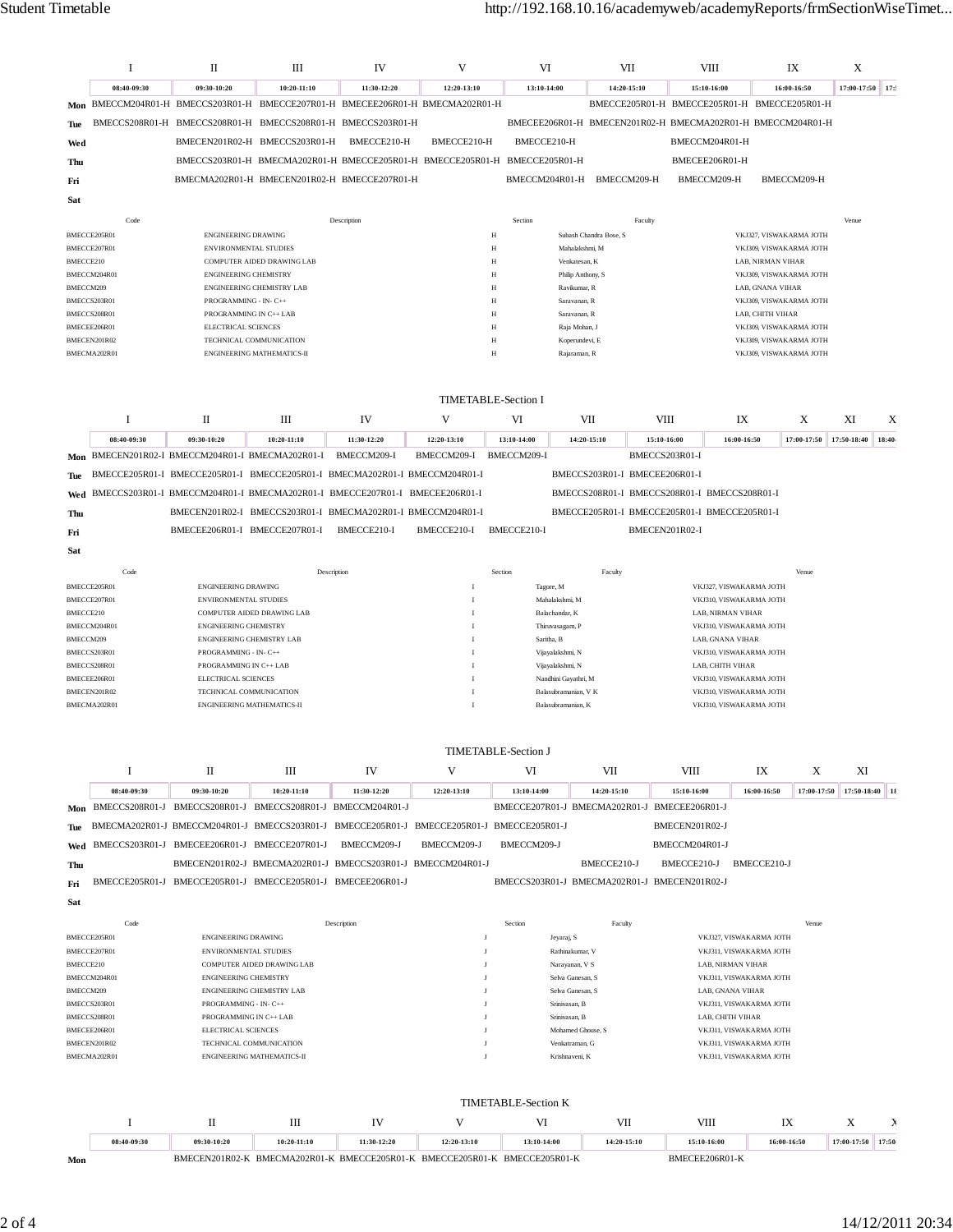|                           | 1                            | П                                                            | Ш                                                               | IV                                                                                        | V            | VI                         |                                                             | VII            | VIII                                         |                                                    | IX          | X               |        |
|---------------------------|------------------------------|--------------------------------------------------------------|-----------------------------------------------------------------|-------------------------------------------------------------------------------------------|--------------|----------------------------|-------------------------------------------------------------|----------------|----------------------------------------------|----------------------------------------------------|-------------|-----------------|--------|
|                           | 08:40-09:30                  | 09:30-10:20                                                  | 10:20-11:10                                                     | 11:30-12:20                                                                               | 12:20-13:10  | 13:10-14:00                |                                                             | 14:20-15:10    | 15:10-16:00                                  |                                                    | 16:00-16:50 | 17:00-17:50 17: |        |
|                           |                              |                                                              |                                                                 | Mon BMECCM204R01-H BMECCS203R01-H BMECCE207R01-H BMECEE206R01-H BMECMA202R01-H            |              |                            |                                                             |                | BMECCE205R01-H BMECCE205R01-H BMECCE205R01-H |                                                    |             |                 |        |
| Tue                       |                              |                                                              |                                                                 | BMECCS208R01-H BMECCS208R01-H BMECCS208R01-H BMECCS203R01-H                               |              |                            | BMECEE206R01-H BMECEN201R02-H BMECMA202R01-H BMECCM204R01-H |                |                                              |                                                    |             |                 |        |
| Wed                       |                              |                                                              | BMECEN201R02-H BMECCS203R01-H                                   | BMECCE210-H                                                                               | BMECCE210-H  | BMECCE210-H                |                                                             |                | BMECCM204R01-H                               |                                                    |             |                 |        |
| Thu                       |                              |                                                              |                                                                 | BMECCS203R01-H BMECMA202R01-H BMECCE205R01-H BMECCE205R01-H BMECCE205R01-H                |              |                            |                                                             |                | BMECEE206R01-H                               |                                                    |             |                 |        |
| Fri                       |                              |                                                              |                                                                 | BMECMA202R01-H BMECEN201R02-H BMECCE207R01-H                                              |              | BMECCM204R01-H             |                                                             | BMECCM209-H    | BMECCM209-H                                  |                                                    | BMECCM209-H |                 |        |
| Sat                       |                              |                                                              |                                                                 |                                                                                           |              |                            |                                                             |                |                                              |                                                    |             |                 |        |
|                           |                              |                                                              |                                                                 |                                                                                           |              |                            |                                                             |                |                                              |                                                    |             |                 |        |
| BMECCE205R01              | Code                         | <b>ENGINEERING DRAWING</b>                                   |                                                                 | Description                                                                               |              | Section<br>$_{\rm H}$      | Subash Chandra Bose, S                                      | Faculty        |                                              | VKJ327, VISWAKARMA JOTH                            |             | Venue           |        |
| BMECCE207R01              |                              | ENVIRONMENTAL STUDIES                                        |                                                                 |                                                                                           |              | $_{\rm H}$                 | Mahalakshmi, M                                              |                |                                              | VKJ309, VISWAKARMA JOTH                            |             |                 |        |
| BMECCE210                 |                              |                                                              | COMPUTER AIDED DRAWING LAB                                      |                                                                                           |              | $_{\rm H}$                 | Venkatesan, K                                               |                |                                              | LAB. NIRMAN VIHAR                                  |             |                 |        |
| BMECCM209                 | BMECCM204R01                 | <b>ENGINEERING CHEMISTRY</b>                                 | ENGINEERING CHEMISTRY LAB                                       |                                                                                           |              | $_{\rm H}$<br>$_{\rm H}$   | Philip Anthony, S<br>Ravikumar, R                           |                |                                              | VKJ309, VISWAKARMA JOTH<br>LAB, GNANA VIHAR        |             |                 |        |
|                           | BMECCS203R01                 | PROGRAMMING - IN- C++                                        |                                                                 |                                                                                           |              | $_{\rm H}$                 | Saravanan, R                                                |                |                                              | VKJ309, VISWAKARMA JOTH                            |             |                 |        |
|                           | BMECCS208R01                 | PROGRAMMING IN C++ LAB                                       |                                                                 |                                                                                           |              | $_{\rm H}$                 | Saravanan, R                                                |                |                                              | LAB, CHITH VIHAR                                   |             |                 |        |
|                           | BMECEE206R01<br>BMECEN201R02 | ELECTRICAL SCIENCES                                          | TECHNICAL COMMUNICATION                                         |                                                                                           |              | $_{\rm H}$<br>$_{\rm H}$   | Raja Mohan, J<br>Koperundevi, E                             |                |                                              | VKJ309, VISWAKARMA JOTH<br>VKJ309, VISWAKARMA JOTH |             |                 |        |
|                           | BMECMA202R01                 |                                                              | <b>ENGINEERING MATHEMATICS-II</b>                               |                                                                                           |              | $_{\rm H}$                 | Rajaraman, R                                                |                |                                              | VKJ309, VISWAKARMA JOTH                            |             |                 |        |
|                           |                              |                                                              |                                                                 |                                                                                           |              |                            |                                                             |                |                                              |                                                    |             |                 |        |
|                           |                              |                                                              |                                                                 |                                                                                           |              |                            |                                                             |                |                                              |                                                    |             |                 |        |
|                           |                              |                                                              |                                                                 |                                                                                           |              | <b>TIMETABLE-Section I</b> |                                                             |                |                                              |                                                    |             |                 |        |
|                           | Ι                            | П                                                            | Ш                                                               | IV                                                                                        | V            | VI                         | VII                                                         | VIII           |                                              | IX                                                 | X           | XI              | X      |
|                           | 08:40-09:30                  | 09:30-10:20                                                  | 10:20-11:10                                                     | 11:30-12:20                                                                               | 12:20-13:10  | 13:10-14:00                | 14:20-15:10                                                 | 15:10-16:00    |                                              | 16:00-16:50                                        | 17:00-17:50 | 17:50-18:40     | 18:40- |
| Mon                       |                              | BMECEN201R02-I BMECCM204R01-I BMECMA202R01-I                 |                                                                 | BMECCM209-I                                                                               | BMECCM209-I  | BMECCM209-I                |                                                             | BMECCS203R01-I |                                              |                                                    |             |                 |        |
| Tue                       |                              |                                                              |                                                                 | BMECCE205R01-I BMECCE205R01-I BMECCE205R01-I BMECMA202R01-I BMECCM204R01-I                |              |                            | BMECCS203R01-I BMECEE206R01-I                               |                |                                              |                                                    |             |                 |        |
| Wed                       |                              |                                                              |                                                                 | BMECCS203R01-I BMECCM204R01-I BMECMA202R01-I BMECCE207R01-I BMECEE206R01-I                |              |                            | BMECCS208R01-I BMECCS208R01-I BMECCS208R01-I                |                |                                              |                                                    |             |                 |        |
| Thu                       |                              |                                                              |                                                                 | BMECEN201R02-I BMECCS203R01-I BMECMA202R01-I BMECCM204R01-I                               |              |                            | BMECCE205R01-I BMECCE205R01-I BMECCE205R01-I                |                |                                              |                                                    |             |                 |        |
| Fri                       |                              | BMECEE206R01-I BMECCE207R01-I                                |                                                                 | BMECCE210-I                                                                               | BMECCE210-I  | BMECCE210-I                |                                                             | BMECEN201R02-I |                                              |                                                    |             |                 |        |
| Sat                       |                              |                                                              |                                                                 |                                                                                           |              |                            |                                                             |                |                                              |                                                    |             |                 |        |
|                           | Code                         |                                                              |                                                                 | Description                                                                               |              | Section                    | Faculty                                                     |                |                                              |                                                    | Venue       |                 |        |
| BMECCE205R01              |                              | ENGINEERING DRAWING                                          |                                                                 |                                                                                           |              | Tagore, M                  |                                                             |                |                                              | VKJ327, VISWAKARMA JOTH                            |             |                 |        |
| BMECCE207R01<br>BMECCE210 |                              | <b>ENVIRONMENTAL STUDIES</b>                                 | COMPUTER AIDED DRAWING LAB                                      |                                                                                           | л            |                            | Mahalakshmi, M<br>Balachandar, K                            |                | LAB, NIRMAN VIHAR                            | VKJ310, VISWAKARMA JOTH                            |             |                 |        |
|                           | BMECCM204R01                 | <b>ENGINEERING CHEMISTRY</b>                                 |                                                                 |                                                                                           | л            |                            | Thiruvasagam, P                                             |                |                                              | VKJ310, VISWAKARMA JOTH                            |             |                 |        |
| BMECCM209                 |                              | ENGINEERING CHEMISTRY LAB                                    |                                                                 |                                                                                           |              | Saritha, B                 |                                                             |                | LAB, GNANA VIHAR                             |                                                    |             |                 |        |
|                           | BMECCS203R01<br>BMECCS208R01 | PROGRAMMING - IN- C++<br>PROGRAMMING IN C++ LAB              |                                                                 |                                                                                           | л            |                            | Vijayalakshmi, N<br>Vijayalakshmi, N                        |                | LAB, CHITH VIHAR                             | VKJ310, VISWAKARMA JOTH                            |             |                 |        |
|                           | BMECEE206R01                 | <b>ELECTRICAL SCIENCES</b>                                   |                                                                 |                                                                                           |              |                            | Nandhini Gayathri, M                                        |                |                                              | VKJ310, VISWAKARMA JOTH                            |             |                 |        |
|                           | BMECEN201R02                 | TECHNICAL COMMUNICATION<br><b>ENGINEERING MATHEMATICS-II</b> |                                                                 |                                                                                           | л            |                            | Balasubramanian, V K                                        |                |                                              | VKJ310, VISWAKARMA JOTH                            |             |                 |        |
|                           | BMECMA202R01                 |                                                              |                                                                 |                                                                                           | л            |                            | Balasubramanian, K                                          |                |                                              | VKJ310, VISWAKARMA JOTH                            |             |                 |        |
|                           |                              |                                                              |                                                                 |                                                                                           |              |                            |                                                             |                |                                              |                                                    |             |                 |        |
|                           |                              |                                                              |                                                                 |                                                                                           |              | TIMETABLE-Section J        |                                                             |                |                                              |                                                    |             |                 |        |
|                           | I                            | П                                                            | Ш                                                               | IV                                                                                        | V            | VI                         | VII                                                         |                | VIII                                         | IX                                                 | Х           | XI              |        |
|                           | 08:40-09:30                  | 09:30-10:20                                                  | 10:20-11:10                                                     | 11:30-12:20                                                                               | 12:20-13:10  | 13:10-14:00                | 14:20-15:10                                                 |                | 15:10-16:00                                  | 16:00-16:50                                        | 17:00-17:50 | 17:50-18:40 18  |        |
|                           |                              |                                                              | Mon BMECCS208R01-J BMECCS208R01-J BMECCS208R01-J BMECCM204R01-J |                                                                                           |              |                            | BMECCE207R01-J BMECMA202R01-J BMECEE206R01-J                |                |                                              |                                                    |             |                 |        |
| Tue                       |                              |                                                              |                                                                 | BMECMA202R01-J BMECCM204R01-J BMECCS203R01-J BMECCE205R01-J BMECCE205R01-J BMECCE205R01-J |              |                            |                                                             |                | BMECEN201R02-J                               |                                                    |             |                 |        |
| Wed                       |                              |                                                              | BMECCS203R01-J BMECEE206R01-J BMECCE207R01-J                    | BMECCM209-J                                                                               | BMECCM209-J  | BMECCM209-J                |                                                             |                | BMECCM204R01-J                               |                                                    |             |                 |        |
| Thu                       |                              |                                                              |                                                                 | BMECEN201R02-J BMECMA202R01-J BMECCS203R01-J BMECCM204R01-J                               |              |                            | BMECCE210-J                                                 |                | BMECCE210-J                                  | BMECCE210-J                                        |             |                 |        |
| Fri                       |                              |                                                              | BMECCE205R01-J BMECCE205R01-J BMECCE205R01-J BMECEE206R01-J     |                                                                                           |              |                            | BMECCS203R01-J BMECMA202R01-J BMECEN201R02-J                |                |                                              |                                                    |             |                 |        |
| Sat                       |                              |                                                              |                                                                 |                                                                                           |              |                            |                                                             |                |                                              |                                                    |             |                 |        |
|                           | Code                         |                                                              |                                                                 | Description                                                                               |              | Section                    |                                                             | Faculty        |                                              |                                                    | Venue       |                 |        |
| BMECCE205R01              |                              | <b>ENGINEERING DRAWING</b>                                   |                                                                 |                                                                                           | J            |                            | Jeyaraj, S                                                  |                |                                              | VKJ327, VISWAKARMA JOTH                            |             |                 |        |
| BMECCE207R01<br>BMECCE210 |                              | ENVIRONMENTAL STUDIES                                        | COMPUTER AIDED DRAWING LAB                                      |                                                                                           | J            |                            | Rathinakumar, V<br>Narayanan, V S                           |                |                                              | VKJ311, VISWAKARMA JOTH<br>LAB, NIRMAN VIHAR       |             |                 |        |
|                           | BMECCM204R01                 | <b>ENGINEERING CHEMISTRY</b>                                 |                                                                 |                                                                                           | J            |                            | Selva Ganesan, S                                            |                |                                              | VKJ311, VISWAKARMA JOTH                            |             |                 |        |
| BMECCM209                 |                              |                                                              | ENGINEERING CHEMISTRY LAB                                       |                                                                                           |              |                            | Selva Ganesan, S                                            |                | LAB, GNANA VIHAR                             |                                                    |             |                 |        |
| BMECCS208R01              | BMECCS203R01                 | PROGRAMMING - IN- C++<br>PROGRAMMING IN C++ LAB              |                                                                 |                                                                                           | J<br>J       |                            | Srinivasan, B<br>Srinivasan, B                              |                | LAB, CHITH VIHAR                             | VKJ311, VISWAKARMA JOTH                            |             |                 |        |
|                           | BMECEE206R01                 | ELECTRICAL SCIENCES                                          |                                                                 |                                                                                           | J            |                            | Mohamed Ghouse, S                                           |                |                                              | VKJ311, VISWAKARMA JOTH                            |             |                 |        |
|                           | BMECEN201R02                 |                                                              | TECHNICAL COMMUNICATION                                         |                                                                                           | $\mathbf{I}$ |                            | Venkatraman, G                                              |                |                                              | VKJ311, VISWAKARMA JOTH                            |             |                 |        |
|                           | BMECMA202R01                 |                                                              | ENGINEERING MATHEMATICS-II                                      |                                                                                           | $\mathbf{I}$ |                            | Krishnaveni, K                                              |                |                                              | VKJ311, VISWAKARMA JOTH                            |             |                 |        |
|                           |                              |                                                              |                                                                 |                                                                                           |              |                            |                                                             |                |                                              |                                                    |             |                 |        |
|                           |                              |                                                              |                                                                 |                                                                                           |              | <b>TIMETABLE-Section K</b> |                                                             |                |                                              |                                                    |             |                 |        |
|                           | 1                            | П                                                            | Ш                                                               | IV                                                                                        | V            | VI                         |                                                             | VII            | VIII                                         |                                                    | IX          | X               | X      |
|                           | 08:40-09:30                  | 09:30-10:20                                                  | 10:20-11:10                                                     | 11:30-12:20                                                                               | 12:20-13:10  | 13:10-14:00                |                                                             | 14:20-15:10    | 15:10-16:00                                  |                                                    | 16:00-16:50 | 17:00-17:50     | 17:50  |
| Mon                       |                              |                                                              |                                                                 | BMECEN201R02-K BMECMA202R01-K BMECCE205R01-K BMECCE205R01-K BMECCE205R01-K                |              |                            |                                                             |                | BMECEE206R01-K                               |                                                    |             |                 |        |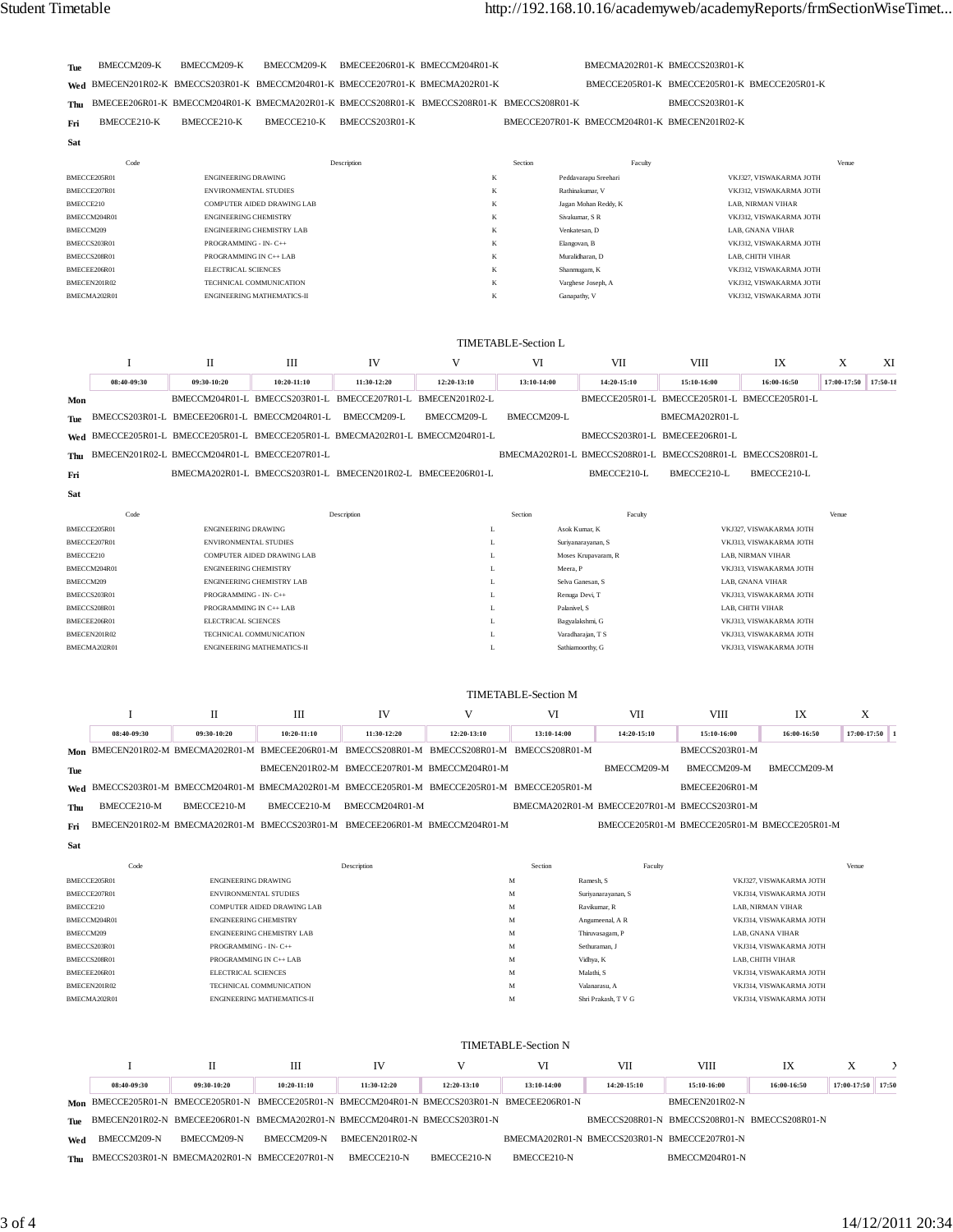| <b>Tue</b> | BMECCM209-K | BMECCM209-K BMECCM209-K BMECEE206R01-K BMECCM204R01-K                                         |  | BMECMA202R01-K BMECCS203R01-K                |                                              |  |
|------------|-------------|-----------------------------------------------------------------------------------------------|--|----------------------------------------------|----------------------------------------------|--|
|            |             | Wed BMECEN201R02-K BMECCS203R01-K BMECCM204R01-K BMECCE207R01-K BMECMA202R01-K                |  |                                              | BMECCE205R01-K BMECCE205R01-K BMECCE205R01-K |  |
|            |             | Thu BMECEE206R01-K BMECCM204R01-K BMECMA202R01-K BMECCS208R01-K BMECCS208R01-K BMECCS208R01-K |  |                                              | BMECCS203R01-K                               |  |
| Fri        | BMECCE210-K | BMECCE210-K BMECCE210-K BMECCS203R01-K                                                        |  | BMECCE207R01-K BMECCM204R01-K BMECEN201R02-K |                                              |  |
| Sat        |             |                                                                                               |  |                                              |                                              |  |

| Code         | Description                       | Section                 | Faculty              | Venue                   |
|--------------|-----------------------------------|-------------------------|----------------------|-------------------------|
| BMECCE205R01 | <b>ENGINEERING DRAWING</b>        | K                       | Peddavarapu Sreehari | VKJ327, VISWAKARMA JOTH |
| BMECCE207R01 | <b>ENVIRONMENTAL STUDIES</b>      | K                       | Rathinakumar, V      | VKJ312. VISWAKARMA JOTH |
| BMECCE210    | <b>COMPUTER AIDED DRAWING LAB</b> | $\mathbf{r}$<br>ĸ       | Jagan Mohan Reddy, K | LAB. NIRMAN VIHAR       |
| BMECCM204R01 | <b>ENGINEERING CHEMISTRY</b>      | A                       | Siyakumar, S R       | VKJ312. VISWAKARMA JOTH |
| BMECCM209    | <b>ENGINEERING CHEMISTRY LAB</b>  | $\boldsymbol{\nu}$<br>A | Venkatesan, D        | LAB. GNANA VIHAR        |
| BMECCS203R01 | PROGRAMMING - IN-C++              | K                       | Elangovan, B         | VKJ312. VISWAKARMA JOTH |
| BMECCS208R01 | PROGRAMMING IN C++ LAB            | K                       | Muralidharan, D      | LAB. CHITH VIHAR        |
| BMECEE206R01 | <b>ELECTRICAL SCIENCES</b>        | K                       | Shanmugam, K         | VKJ312. VISWAKARMA JOTH |
| BMECEN201R02 | TECHNICAL COMMUNICATION           | $\mathbf{r}$<br>ĸ       | Varghese Joseph, A   | VKJ312, VISWAKARMA JOTH |
| BMECMA202R01 | <b>ENGINEERING MATHEMATICS-II</b> | $\mathbf{r}$<br>N       | Ganapathy, V         | VKJ312, VISWAKARMA JOTH |
|              |                                   |                         |                      |                         |

|            |              |                                              |                                                             |                               |                                                                                | <b>TIMETABLE-Section L</b> |                                                             |                                              |                         |             |          |
|------------|--------------|----------------------------------------------|-------------------------------------------------------------|-------------------------------|--------------------------------------------------------------------------------|----------------------------|-------------------------------------------------------------|----------------------------------------------|-------------------------|-------------|----------|
|            |              | П                                            | III                                                         | IV                            | V                                                                              | VI                         | VII                                                         | VIII                                         | IX                      | X           | XI       |
|            | 08:40-09:30  | 09:30-10:20                                  | 10:20-11:10                                                 | 11:30-12:20                   | 12:20-13:10                                                                    | 13:10-14:00                | 14:20-15:10                                                 | 15:10-16:00                                  | 16:00-16:50             | 17:00-17:50 | 17:50-18 |
| Mon        |              |                                              | BMECCM204R01-L BMECCS203R01-L                               | BMECCE207R01-L BMECEN201R02-L |                                                                                |                            |                                                             | BMECCE205R01-L BMECCE205R01-L BMECCE205R01-L |                         |             |          |
| <b>Tue</b> |              |                                              | BMECCS203R01-L BMECEE206R01-L BMECCM204R01-L                | BMECCM209-L                   | BMECCM209-L                                                                    | BMECCM209-L                |                                                             | BMECMA202R01-L                               |                         |             |          |
|            |              |                                              |                                                             |                               | Wed BMECCE205R01-L BMECCE205R01-L BMECCE205R01-L BMECMA202R01-L BMECCM204R01-L |                            |                                                             | BMECCS203R01-L BMECEE206R01-L                |                         |             |          |
| Thu        |              | BMECEN201R02-L BMECCM204R01-L BMECCE207R01-L |                                                             |                               |                                                                                |                            | BMECMA202R01-L BMECCS208R01-L BMECCS208R01-L BMECCS208R01-L |                                              |                         |             |          |
| Fri        |              |                                              | BMECMA202R01-L BMECCS203R01-L BMECEN201R02-L BMECEE206R01-L |                               |                                                                                |                            | BMECCE210-L                                                 | BMECCE210-L                                  | BMECCE210-L             |             |          |
| Sat        |              |                                              |                                                             |                               |                                                                                |                            |                                                             |                                              |                         |             |          |
|            | Code         |                                              |                                                             | Description                   |                                                                                | Section                    | Faculty                                                     |                                              |                         | Venue       |          |
|            | BMECCE205R01 | <b>ENGINEERING DRAWING</b>                   |                                                             |                               | L                                                                              |                            | Asok Kumar, K                                               |                                              | VKJ327, VISWAKARMA JOTH |             |          |
|            | BMECCE207R01 | <b>ENVIRONMENTAL STUDIES</b>                 |                                                             |                               | L                                                                              |                            | Suriyanarayanan, S                                          |                                              | VKJ313, VISWAKARMA JOTH |             |          |
| BMECCE210  |              |                                              | <b>COMPUTER AIDED DRAWING LAB</b>                           |                               | L                                                                              |                            | Moses Krupavaram, R                                         |                                              | LAB. NIRMAN VIHAR       |             |          |
|            | BMECCM204R01 | <b>ENGINEERING CHEMISTRY</b>                 |                                                             |                               | L                                                                              | Meera, P                   |                                                             |                                              | VKJ313, VISWAKARMA JOTH |             |          |
| BMECCM209  |              |                                              | <b>ENGINEERING CHEMISTRY LAB</b>                            |                               | L                                                                              |                            | Selva Ganesan, S                                            |                                              | LAB, GNANA VIHAR        |             |          |
|            | BMECCS203R01 | PROGRAMMING - IN- C++                        |                                                             |                               | L                                                                              |                            | Renuga Devi, T                                              |                                              | VKJ313, VISWAKARMA JOTH |             |          |
|            | BMECCS208R01 | PROGRAMMING IN C++ LAB                       |                                                             |                               | L                                                                              | Palanivel, S               |                                                             |                                              | LAB, CHITH VIHAR        |             |          |
|            | BMECEE206R01 | ELECTRICAL SCIENCES                          |                                                             |                               | L                                                                              |                            | Bagyalakshmi, G                                             |                                              | VKJ313, VISWAKARMA JOTH |             |          |
|            | BMECEN201R02 |                                              | TECHNICAL COMMUNICATION                                     |                               | L                                                                              |                            | Varadharajan, T S                                           |                                              | VKJ313, VISWAKARMA JOTH |             |          |

|     | TIMETABLE-Section M |                                                                                               |               |                |                                              |                                              |             |                                              |             |               |  |
|-----|---------------------|-----------------------------------------------------------------------------------------------|---------------|----------------|----------------------------------------------|----------------------------------------------|-------------|----------------------------------------------|-------------|---------------|--|
|     |                     |                                                                                               | Ш             | IV             |                                              | VI                                           | VII         | VIII                                         | IX          | X             |  |
|     | 08:40-09:30         | 09:30-10:20                                                                                   | $10:20-11:10$ | 11:30-12:20    | 12:20-13:10                                  | 13:10-14:00                                  | 14:20-15:10 | 15:10-16:00                                  | 16:00-16:50 | $17:00-17:50$ |  |
|     |                     | Mon BMECEN201R02-M BMECMA202R01-M BMECEE206R01-M BMECCS208R01-M BMECCS208R01-M BMECCS208R01-M |               |                |                                              |                                              |             | BMECCS203R01-M                               |             |               |  |
| Tue |                     |                                                                                               |               |                | BMECEN201R02-M BMECCE207R01-M BMECCM204R01-M |                                              | BMECCM209-M | BMECCM209-M                                  | BMECCM209-M |               |  |
|     |                     | Wed BMECCS203R01-M BMECCM204R01-M BMECMA202R01-M BMECCE205R01-M BMECCE205R01-M BMECCE205R01-M |               |                |                                              |                                              |             | BMECEE206R01-M                               |             |               |  |
| Thu | BMECCE210-M         | BMECCE210-M                                                                                   | BMECCE210-M   | BMECCM204R01-M |                                              | BMECMA202R01-M BMECCE207R01-M BMECCS203R01-M |             |                                              |             |               |  |
| Fri |                     | BMECEN201R02-M BMECMA202R01-M BMECCS203R01-M BMECEE206R01-M BMECCM204R01-M                    |               |                |                                              |                                              |             | BMECCE205R01-M BMECCE205R01-M BMECCE205R01-M |             |               |  |

BMECEN201R02 TECHNICAL COMMUNICATION L Varadharajan, T S VKJ313, VISWAKARMA JOTH BMECMA202R01 ENGINEERING MATHEMATICS-II L Sathiamoorthy, G VKJ313, VISWAKARMA JOTH

| Sat          |                                   |         |                     |                          |  |  |  |  |  |  |
|--------------|-----------------------------------|---------|---------------------|--------------------------|--|--|--|--|--|--|
| Code         | Description                       | Section | Faculty             | Venue                    |  |  |  |  |  |  |
| BMECCE205R01 | <b>ENGINEERING DRAWING</b>        | M       | Ramesh, S           | VKJ327, VISWAKARMA JOTH  |  |  |  |  |  |  |
| BMECCE207R01 | <b>ENVIRONMENTAL STUDIES</b>      | M       | Suriyanarayanan, S  | VKJ314, VISWAKARMA JOTH  |  |  |  |  |  |  |
| BMECCE210    | <b>COMPUTER AIDED DRAWING LAB</b> | M       | Ravikumar, R        | <b>LAB. NIRMAN VIHAR</b> |  |  |  |  |  |  |
| BMECCM204R01 | <b>ENGINEERING CHEMISTRY</b>      | M       | Angumeenal, A R     | VKJ314, VISWAKARMA JOTH  |  |  |  |  |  |  |
| BMECCM209    | <b>ENGINEERING CHEMISTRY LAB</b>  | M       | Thiruvasagam, P     | LAB. GNANA VIHAR         |  |  |  |  |  |  |
| BMECCS203R01 | PROGRAMMING - IN- C++             | M       | Sethuraman, J       | VKJ314. VISWAKARMA JOTH  |  |  |  |  |  |  |
| BMECCS208R01 | PROGRAMMING IN C++ LAB            | M       | Vidhya, K           | LAB, CHITH VIHAR         |  |  |  |  |  |  |
| BMECEE206R01 | <b>ELECTRICAL SCIENCES</b>        | M       | Malathi, S          | VKJ314, VISWAKARMA JOTH  |  |  |  |  |  |  |
| BMECEN201R02 | TECHNICAL COMMUNICATION           | M       | Valanarasu, A       | VKJ314, VISWAKARMA JOTH  |  |  |  |  |  |  |
| BMECMA202R01 | <b>ENGINEERING MATHEMATICS-II</b> | M       | Shri Prakash, T V G | VKJ314, VISWAKARMA JOTH  |  |  |  |  |  |  |

|     |             | TIMETABLE-Section N                                                                           |               |                |             |                                              |             |                                              |             |                     |  |  |
|-----|-------------|-----------------------------------------------------------------------------------------------|---------------|----------------|-------------|----------------------------------------------|-------------|----------------------------------------------|-------------|---------------------|--|--|
|     |             |                                                                                               | Ш             | <b>IV</b>      |             | VI                                           | VII         | VIII                                         | IX          | X                   |  |  |
|     | 08:40-09:30 | 09:30-10:20                                                                                   | $10:20-11:10$ | 11:30-12:20    | 12:20-13:10 | 13:10-14:00                                  | 14:20-15:10 | 15:10-16:00                                  | 16:00-16:50 | $17:00-17:50$ 17:50 |  |  |
|     |             | Mon BMECCE205R01-N BMECCE205R01-N BMECCE205R01-N BMECCM204R01-N BMECCS203R01-N BMECEE206R01-N |               |                |             |                                              |             | BMECEN201R02-N                               |             |                     |  |  |
|     |             | The BMECEN201R02-N BMECEE206R01-N BMECMA202R01-N BMECCM204R01-N BMECCS203R01-N                |               |                |             |                                              |             | BMECCS208R01-N BMECCS208R01-N BMECCS208R01-N |             |                     |  |  |
| Wed | BMECCM209-N | BMECCM209-N                                                                                   | BMECCM209-N   | BMECEN201R02-N |             | BMECMA202R01-N BMECCS203R01-N BMECCE207R01-N |             |                                              |             |                     |  |  |
|     |             | Thu BMECCS203R01-N BMECMA202R01-N BMECCE207R01-N                                              |               | BMECCE210-N    | BMECCE210-N | BMECCE210-N                                  |             | BMECCM204R01-N                               |             |                     |  |  |